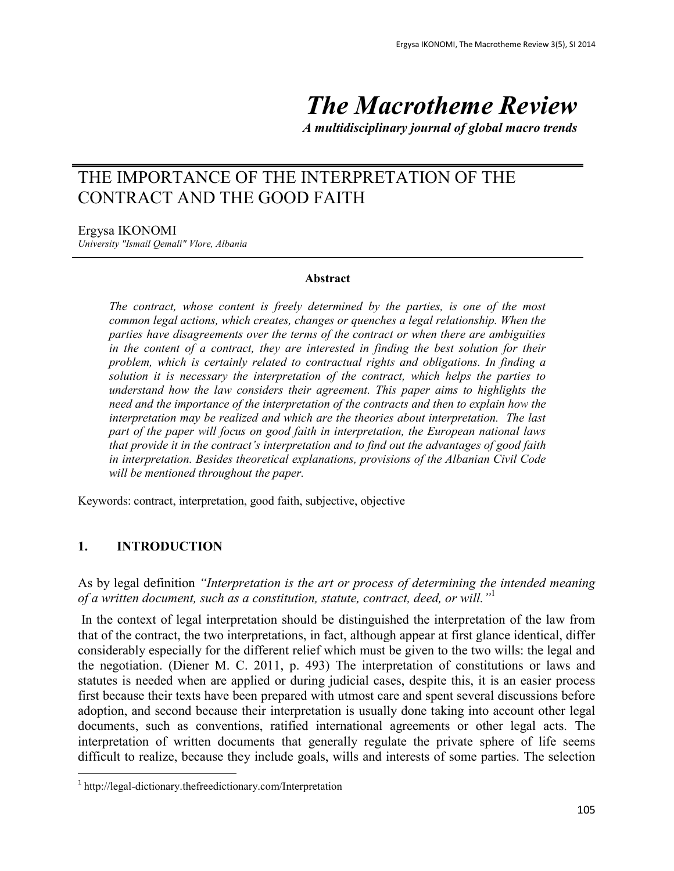# *The Macrotheme Review*

*A multidisciplinary journal of global macro trends*

# THE IMPORTANCE OF THE INTERPRETATION OF THE CONTRACT AND THE GOOD FAITH

Ergysa IKONOMI

*University "Ismail Qemali" Vlore, Albania*

#### **Abstract**

*The contract, whose content is freely determined by the parties, is one of the most common legal actions, which creates, changes or quenches a legal relationship. When the parties have disagreements over the terms of the contract or when there are ambiguities in the content of a contract, they are interested in finding the best solution for their problem, which is certainly related to contractual rights and obligations. In finding a solution it is necessary the interpretation of the contract, which helps the parties to understand how the law considers their agreement. This paper aims to highlights the need and the importance of the interpretation of the contracts and then to explain how the interpretation may be realized and which are the theories about interpretation. The last part of the paper will focus on good faith in interpretation, the European national laws that provide it in the contract's interpretation and to find out the advantages of good faith in interpretation. Besides theoretical explanations, provisions of the Albanian Civil Code will be mentioned throughout the paper.*

Keywords: contract, interpretation, good faith, subjective, objective

#### **1. INTRODUCTION**

 $\overline{a}$ 

As by legal definition *"Interpretation is the art or process of determining the intended meaning of a written document, such as a constitution, statute, contract, deed, or will."*<sup>1</sup>

In the context of legal interpretation should be distinguished the interpretation of the law from that of the contract, the two interpretations, in fact, although appear at first glance identical, differ considerably especially for the different relief which must be given to the two wills: the legal and the negotiation. (Diener M. C. 2011, p. 493) The interpretation of constitutions or laws and statutes is needed when are applied or during judicial cases, despite this, it is an easier process first because their texts have been prepared with utmost care and spent several discussions before adoption, and second because their interpretation is usually done taking into account other legal documents, such as conventions, ratified international agreements or other legal acts. The interpretation of written documents that generally regulate the private sphere of life seems difficult to realize, because they include goals, wills and interests of some parties. The selection

<sup>1</sup> <http://legal-dictionary.thefreedictionary.com/Interpretation>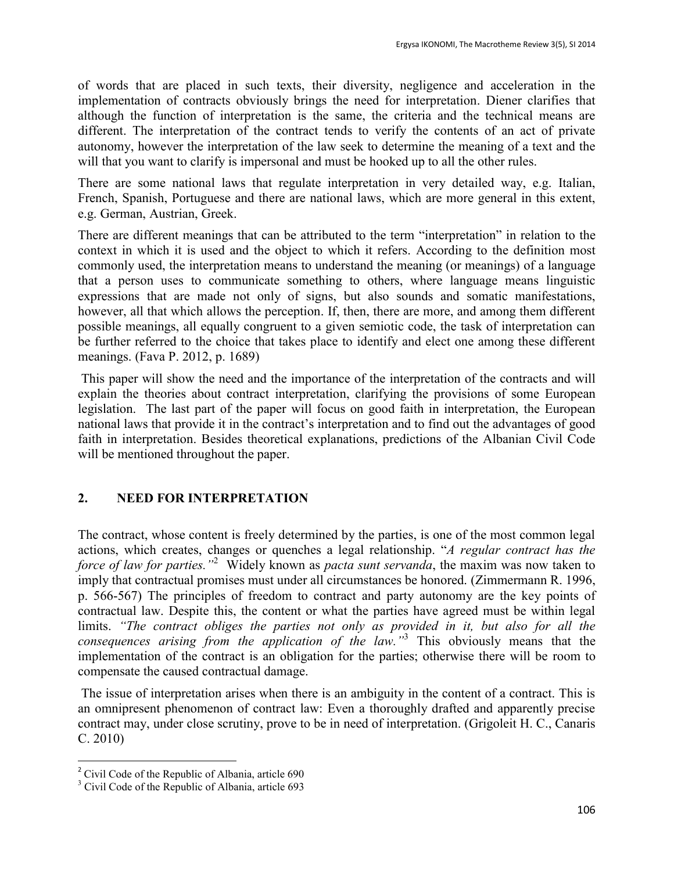of words that are placed in such texts, their diversity, negligence and acceleration in the implementation of contracts obviously brings the need for interpretation. Diener clarifies that although the function of interpretation is the same, the criteria and the technical means are different. The interpretation of the contract tends to verify the contents of an act of private autonomy, however the interpretation of the law seek to determine the meaning of a text and the will that you want to clarify is impersonal and must be hooked up to all the other rules.

There are some national laws that regulate interpretation in very detailed way, e.g. Italian, French, Spanish, Portuguese and there are national laws, which are more general in this extent, e.g. German, Austrian, Greek.

There are different meanings that can be attributed to the term "interpretation" in relation to the context in which it is used and the object to which it refers. According to the definition most commonly used, the interpretation means to understand the meaning (or meanings) of a language that a person uses to communicate something to others, where language means linguistic expressions that are made not only of signs, but also sounds and somatic manifestations, however, all that which allows the perception. If, then, there are more, and among them different possible meanings, all equally congruent to a given semiotic code, the task of interpretation can be further referred to the choice that takes place to identify and elect one among these different meanings. (Fava P. 2012, p. 1689)

This paper will show the need and the importance of the interpretation of the contracts and will explain the theories about contract interpretation, clarifying the provisions of some European legislation. The last part of the paper will focus on good faith in interpretation, the European national laws that provide it in the contract's interpretation and to find out the advantages of good faith in interpretation. Besides theoretical explanations, predictions of the Albanian Civil Code will be mentioned throughout the paper.

## **2. NEED FOR INTERPRETATION**

The contract, whose content is freely determined by the parties, is one of the most common legal actions, which creates, changes or quenches a legal relationship. "*A regular contract has the force of law for parties."*<sup>2</sup> Widely known as *pacta sunt servanda*, the maxim was now taken to imply that contractual promises must under all circumstances be honored. (Zimmermann R. 1996, p. 566-567) The principles of freedom to contract and party autonomy are the key points of contractual law. Despite this, the content or what the parties have agreed must be within legal limits. *"The contract obliges the parties not only as provided in it, but also for all the consequences arising from the application of the law."* 3 This obviously means that the implementation of the contract is an obligation for the parties; otherwise there will be room to compensate the caused contractual damage.

The issue of interpretation arises when there is an ambiguity in the content of a contract. This is an omnipresent phenomenon of contract law: Even a thoroughly drafted and apparently precise contract may, under close scrutiny, prove to be in need of interpretation. (Grigoleit H. C., Canaris C. 2010)

 $\ddot{\phantom{a}}$ 

<sup>&</sup>lt;sup>2</sup> Civil Code of the Republic of Albania, article 690

<sup>&</sup>lt;sup>3</sup> Civil Code of the Republic of Albania, article 693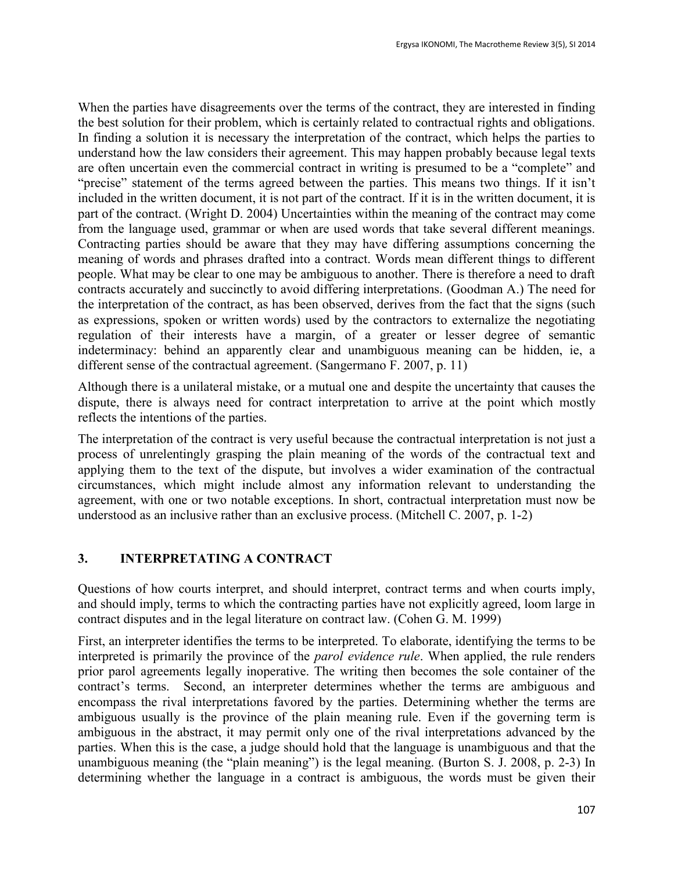When the parties have disagreements over the terms of the contract, they are interested in finding the best solution for their problem, which is certainly related to contractual rights and obligations. In finding a solution it is necessary the interpretation of the contract, which helps the parties to understand how the law considers their agreement. This may happen probably because legal texts are often uncertain even the commercial contract in writing is presumed to be a "complete" and "precise" statement of the terms agreed between the parties. This means two things. If it isn't included in the written document, it is not part of the contract. If it is in the written document, it is part of the contract. (Wright D. 2004) Uncertainties within the meaning of the contract may come from the language used, grammar or when are used words that take several different meanings. Contracting parties should be aware that they may have differing assumptions concerning the meaning of words and phrases drafted into a contract. Words mean different things to different people. What may be clear to one may be ambiguous to another. There is therefore a need to draft contracts accurately and succinctly to avoid differing interpretations. (Goodman A.) The need for the interpretation of the contract, as has been observed, derives from the fact that the signs (such as expressions, spoken or written words) used by the contractors to externalize the negotiating regulation of their interests have a margin, of a greater or lesser degree of semantic indeterminacy: behind an apparently clear and unambiguous meaning can be hidden, ie, a different sense of the contractual agreement. (Sangermano F. 2007, p. 11)

Although there is a unilateral mistake, or a mutual one and despite the uncertainty that causes the dispute, there is always need for contract interpretation to arrive at the point which mostly reflects the intentions of the parties.

The interpretation of the contract is very useful because the contractual interpretation is not just a process of unrelentingly grasping the plain meaning of the words of the contractual text and applying them to the text of the dispute, but involves a wider examination of the contractual circumstances, which might include almost any information relevant to understanding the agreement, with one or two notable exceptions. In short, contractual interpretation must now be understood as an inclusive rather than an exclusive process. (Mitchell C. 2007, p. 1-2)

## **3. INTERPRETATING A CONTRACT**

Questions of how courts interpret, and should interpret, contract terms and when courts imply, and should imply, terms to which the contracting parties have not explicitly agreed, loom large in contract disputes and in the legal literature on contract law. (Cohen G. M. 1999)

First, an interpreter identifies the terms to be interpreted. To elaborate, identifying the terms to be interpreted is primarily the province of the *parol evidence rule*. When applied, the rule renders prior parol agreements legally inoperative. The writing then becomes the sole container of the contract's terms. Second, an interpreter determines whether the terms are ambiguous and encompass the rival interpretations favored by the parties. Determining whether the terms are ambiguous usually is the province of the plain meaning rule. Even if the governing term is ambiguous in the abstract, it may permit only one of the rival interpretations advanced by the parties. When this is the case, a judge should hold that the language is unambiguous and that the unambiguous meaning (the "plain meaning") is the legal meaning. (Burton S. J. 2008, p. 2-3) In determining whether the language in a contract is ambiguous, the words must be given their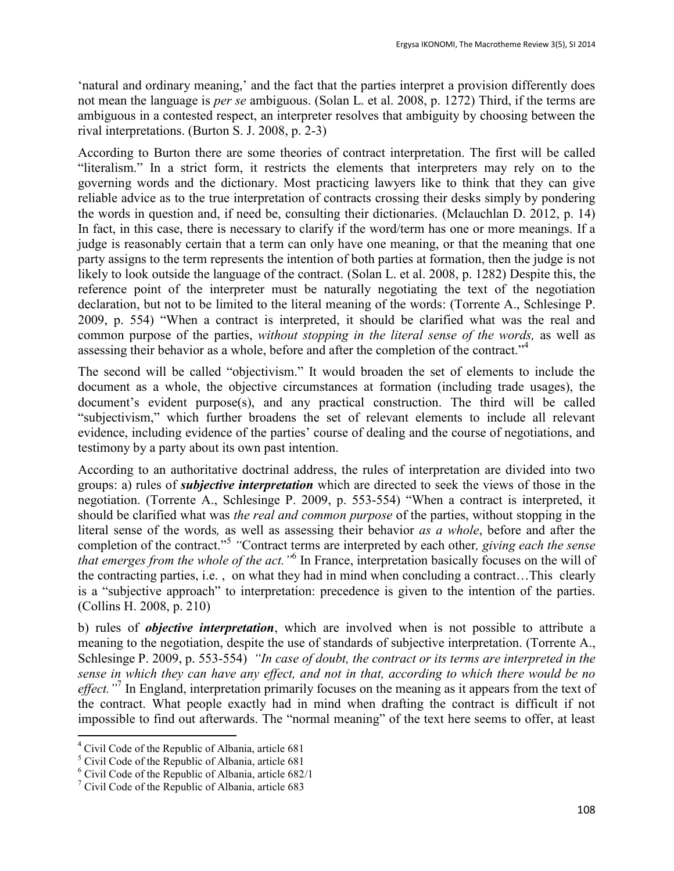'natural and ordinary meaning,' and the fact that the parties interpret a provision differently does not mean the language is *per se* ambiguous. (Solan L. et al. 2008, p. 1272) Third, if the terms are ambiguous in a contested respect, an interpreter resolves that ambiguity by choosing between the rival interpretations. (Burton S. J. 2008, p. 2-3)

According to Burton there are some theories of contract interpretation. The first will be called "literalism." In a strict form, it restricts the elements that interpreters may rely on to the governing words and the dictionary. Most practicing lawyers like to think that they can give reliable advice as to the true interpretation of contracts crossing their desks simply by pondering the words in question and, if need be, consulting their dictionaries. (Mclauchlan D. 2012, p. 14) In fact, in this case, there is necessary to clarify if the word/term has one or more meanings. If a judge is reasonably certain that a term can only have one meaning, or that the meaning that one party assigns to the term represents the intention of both parties at formation, then the judge is not likely to look outside the language of the contract. (Solan L. et al. 2008, p. 1282) Despite this, the reference point of the interpreter must be naturally negotiating the text of the negotiation declaration, but not to be limited to the literal meaning of the words: (Torrente A., Schlesinge P. 2009, p. 554) "When a contract is interpreted, it should be clarified what was the real and common purpose of the parties, *without stopping in the literal sense of the words,* as well as assessing their behavior as a whole, before and after the completion of the contract."<sup>4</sup>

The second will be called "objectivism." It would broaden the set of elements to include the document as a whole, the objective circumstances at formation (including trade usages), the document's evident purpose(s), and any practical construction. The third will be called "subjectivism," which further broadens the set of relevant elements to include all relevant evidence, including evidence of the parties' course of dealing and the course of negotiations, and testimony by a party about its own past intention.

According to an authoritative doctrinal address, the rules of interpretation are divided into two groups: a) rules of *subjective interpretation* which are directed to seek the views of those in the negotiation. (Torrente A., Schlesinge P. 2009, p. 553-554) "When a contract is interpreted, it should be clarified what was *the real and common purpose* of the parties, without stopping in the literal sense of the words*,* as well as assessing their behavior *as a whole*, before and after the completion of the contract."<sup>5</sup> "Contract terms are interpreted by each other, giving each the sense *that emerges from the whole of the act."*<sup>6</sup> In France, interpretation basically focuses on the will of the contracting parties, i.e. , on what they had in mind when concluding a contract…This clearly is a "subjective approach" to interpretation: precedence is given to the intention of the parties. (Collins H. 2008, p. 210)

b) rules of *objective interpretation*, which are involved when is not possible to attribute a meaning to the negotiation, despite the use of standards of subjective interpretation. (Torrente A., Schlesinge P. 2009, p. 553-554) *"In case of doubt, the contract or its terms are interpreted in the sense in which they can have any effect, and not in that, according to which there would be no*  effect."<sup>7</sup> In England, interpretation primarily focuses on the meaning as it appears from the text of the contract. What people exactly had in mind when drafting the contract is difficult if not impossible to find out afterwards. The "normal meaning" of the text here seems to offer, at least

 $\overline{a}$ 

<sup>4</sup> Civil Code of the Republic of Albania, article 681

<sup>5</sup> Civil Code of the Republic of Albania, article 681

<sup>6</sup> Civil Code of the Republic of Albania, article 682/1

 $\frac{7}{1}$  Civil Code of the Republic of Albania, article 683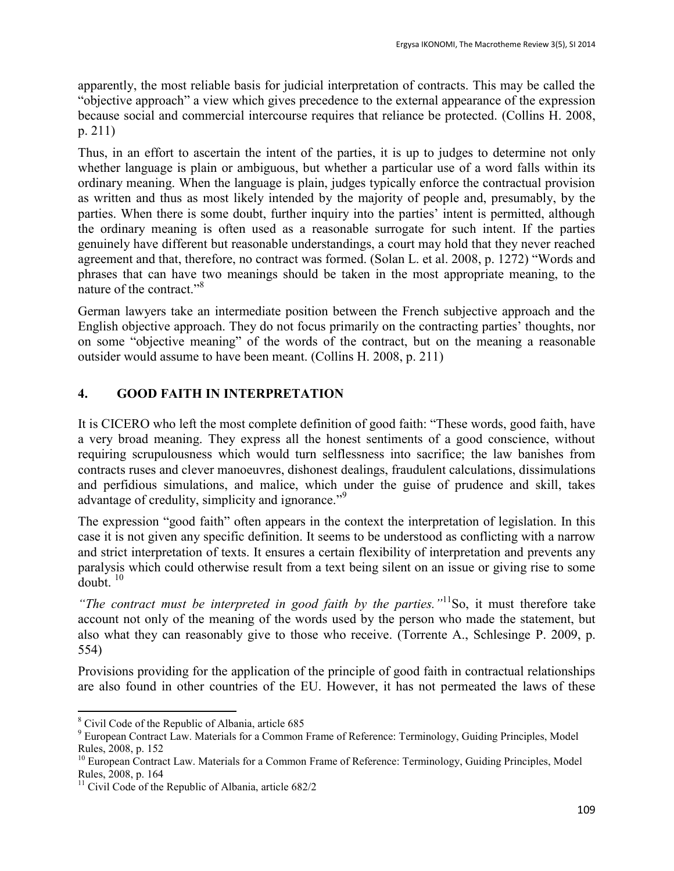apparently, the most reliable basis for judicial interpretation of contracts. This may be called the "objective approach" a view which gives precedence to the external appearance of the expression because social and commercial intercourse requires that reliance be protected. (Collins H. 2008, p. 211)

Thus, in an effort to ascertain the intent of the parties, it is up to judges to determine not only whether language is plain or ambiguous, but whether a particular use of a word falls within its ordinary meaning. When the language is plain, judges typically enforce the contractual provision as written and thus as most likely intended by the majority of people and, presumably, by the parties. When there is some doubt, further inquiry into the parties' intent is permitted, although the ordinary meaning is often used as a reasonable surrogate for such intent. If the parties genuinely have different but reasonable understandings, a court may hold that they never reached agreement and that, therefore, no contract was formed. (Solan L. et al. 2008, p. 1272) "Words and phrases that can have two meanings should be taken in the most appropriate meaning, to the nature of the contract."<sup>8</sup>

German lawyers take an intermediate position between the French subjective approach and the English objective approach. They do not focus primarily on the contracting parties' thoughts, nor on some "objective meaning" of the words of the contract, but on the meaning a reasonable outsider would assume to have been meant. (Collins H. 2008, p. 211)

# **4. GOOD FAITH IN INTERPRETATION**

It is CICERO who left the most complete definition of good faith: "These words, good faith, have a very broad meaning. They express all the honest sentiments of a good conscience, without requiring scrupulousness which would turn selflessness into sacrifice; the law banishes from contracts ruses and clever manoeuvres, dishonest dealings, fraudulent calculations, dissimulations and perfidious simulations, and malice, which under the guise of prudence and skill, takes advantage of credulity, simplicity and ignorance."<sup>9</sup>

The expression "good faith" often appears in the context the interpretation of legislation. In this case it is not given any specific definition. It seems to be understood as conflicting with a narrow and strict interpretation of texts. It ensures a certain flexibility of interpretation and prevents any paralysis which could otherwise result from a text being silent on an issue or giving rise to some  $doubt.$ <sup>10</sup>

*"The contract must be interpreted in good faith by the parties."*<sup>11</sup>So, it must therefore take account not only of the meaning of the words used by the person who made the statement, but also what they can reasonably give to those who receive. (Torrente A., Schlesinge P. 2009, p. 554)

Provisions providing for the application of the principle of good faith in contractual relationships are also found in other countries of the EU. However, it has not permeated the laws of these

 $\overline{a}$ 

<sup>8</sup> Civil Code of the Republic of Albania, article 685

<sup>&</sup>lt;sup>9</sup> European Contract Law. Materials for a Common Frame of Reference: Terminology, Guiding Principles, Model Rules, 2008, p. 152

<sup>&</sup>lt;sup>10</sup> European Contract Law. Materials for a Common Frame of Reference: Terminology, Guiding Principles, Model Rules, 2008, p. 164

<sup>&</sup>lt;sup>11</sup> Civil Code of the Republic of Albania, article  $682/2$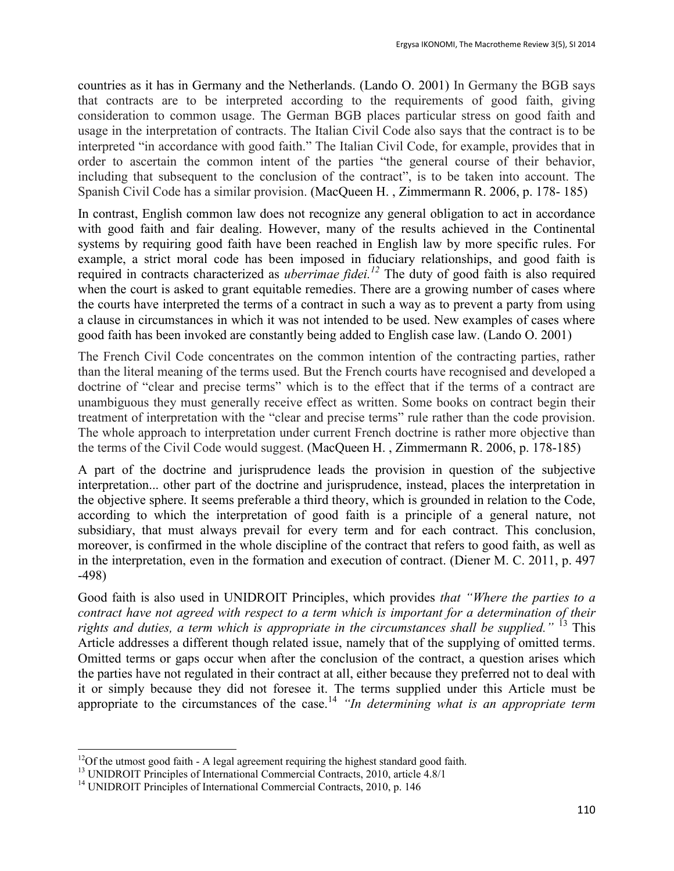countries as it has in Germany and the Netherlands. (Lando O. 2001) In Germany the BGB says that contracts are to be interpreted according to the requirements of good faith, giving consideration to common usage. The German BGB places particular stress on good faith and usage in the interpretation of contracts. The Italian Civil Code also says that the contract is to be interpreted "in accordance with good faith." The Italian Civil Code, for example, provides that in order to ascertain the common intent of the parties "the general course of their behavior, including that subsequent to the conclusion of the contract", is to be taken into account. The Spanish Civil Code has a similar provision. (MacQueen H. , Zimmermann R. 2006, p. 178- 185)

In contrast, English common law does not recognize any general obligation to act in accordance with good faith and fair dealing. However, many of the results achieved in the Continental systems by requiring good faith have been reached in English law by more specific rules. For example, a strict moral code has been imposed in fiduciary relationships, and good faith is required in contracts characterized as *uberrimae fidei.<sup>12</sup>* The duty of good faith is also required when the court is asked to grant equitable remedies. There are a growing number of cases where the courts have interpreted the terms of a contract in such a way as to prevent a party from using a clause in circumstances in which it was not intended to be used. New examples of cases where good faith has been invoked are constantly being added to English case law. (Lando O. 2001)

The French Civil Code concentrates on the common intention of the contracting parties, rather than the literal meaning of the terms used. But the French courts have recognised and developed a doctrine of "clear and precise terms" which is to the effect that if the terms of a contract are unambiguous they must generally receive effect as written. Some books on contract begin their treatment of interpretation with the "clear and precise terms" rule rather than the code provision. The whole approach to interpretation under current French doctrine is rather more objective than the terms of the Civil Code would suggest. (MacQueen H. , Zimmermann R. 2006, p. 178-185)

A part of the doctrine and jurisprudence leads the provision in question of the subjective interpretation... other part of the doctrine and jurisprudence, instead, places the interpretation in the objective sphere. It seems preferable a third theory, which is grounded in relation to the Code, according to which the interpretation of good faith is a principle of a general nature, not subsidiary, that must always prevail for every term and for each contract. This conclusion, moreover, is confirmed in the whole discipline of the contract that refers to good faith, as well as in the interpretation, even in the formation and execution of contract. (Diener M. C. 2011, p. 497 -498)

Good faith is also used in UNIDROIT Principles, which provides *that "Where the parties to a contract have not agreed with respect to a term which is important for a determination of their rights and duties, a term which is appropriate in the circumstances shall be supplied.*" <sup>13</sup> This Article addresses a different though related issue, namely that of the supplying of omitted terms. Omitted terms or gaps occur when after the conclusion of the contract, a question arises which the parties have not regulated in their contract at all, either because they preferred not to deal with it or simply because they did not foresee it. The terms supplied under this Article must be appropriate to the circumstances of the case.<sup>14</sup> *"In determining what is an appropriate term* 

 $\overline{a}$ 

 $12$ Of the utmost good faith - A legal agreement requiring the highest standard good faith.

<sup>&</sup>lt;sup>13</sup> UNIDROIT Principles of International Commercial Contracts, 2010, article 4.8/1

<sup>&</sup>lt;sup>14</sup> UNIDROIT Principles of International Commercial Contracts, 2010, p. 146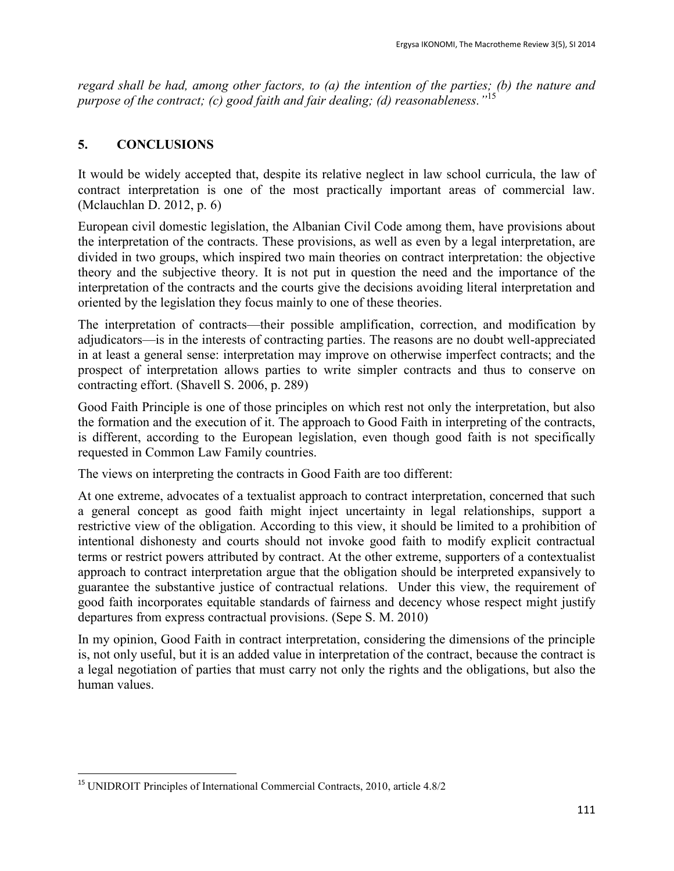*regard shall be had, among other factors, to (a) the intention of the parties; (b) the nature and purpose of the contract; (c) good faith and fair dealing; (d) reasonableness."*<sup>15</sup>

## **5. CONCLUSIONS**

It would be widely accepted that, despite its relative neglect in law school curricula, the law of contract interpretation is one of the most practically important areas of commercial law. (Mclauchlan D. 2012, p. 6)

European civil domestic legislation, the Albanian Civil Code among them, have provisions about the interpretation of the contracts. These provisions, as well as even by a legal interpretation, are divided in two groups, which inspired two main theories on contract interpretation: the objective theory and the subjective theory. It is not put in question the need and the importance of the interpretation of the contracts and the courts give the decisions avoiding literal interpretation and oriented by the legislation they focus mainly to one of these theories.

The interpretation of contracts—their possible amplification, correction, and modification by adjudicators—is in the interests of contracting parties. The reasons are no doubt well-appreciated in at least a general sense: interpretation may improve on otherwise imperfect contracts; and the prospect of interpretation allows parties to write simpler contracts and thus to conserve on contracting effort. (Shavell S. 2006, p. 289)

Good Faith Principle is one of those principles on which rest not only the interpretation, but also the formation and the execution of it. The approach to Good Faith in interpreting of the contracts, is different, according to the European legislation, even though good faith is not specifically requested in Common Law Family countries.

The views on interpreting the contracts in Good Faith are too different:

At one extreme, advocates of a textualist approach to contract interpretation, concerned that such a general concept as good faith might inject uncertainty in legal relationships, support a restrictive view of the obligation. According to this view, it should be limited to a prohibition of intentional dishonesty and courts should not invoke good faith to modify explicit contractual terms or restrict powers attributed by contract. At the other extreme, supporters of a contextualist approach to contract interpretation argue that the obligation should be interpreted expansively to guarantee the substantive justice of contractual relations. Under this view, the requirement of good faith incorporates equitable standards of fairness and decency whose respect might justify departures from express contractual provisions. (Sepe S. M. 2010)

In my opinion, Good Faith in contract interpretation, considering the dimensions of the principle is, not only useful, but it is an added value in interpretation of the contract, because the contract is a legal negotiation of parties that must carry not only the rights and the obligations, but also the human values.

 $\overline{a}$ <sup>15</sup> UNIDROIT Principles of International Commercial Contracts, 2010, article 4.8/2